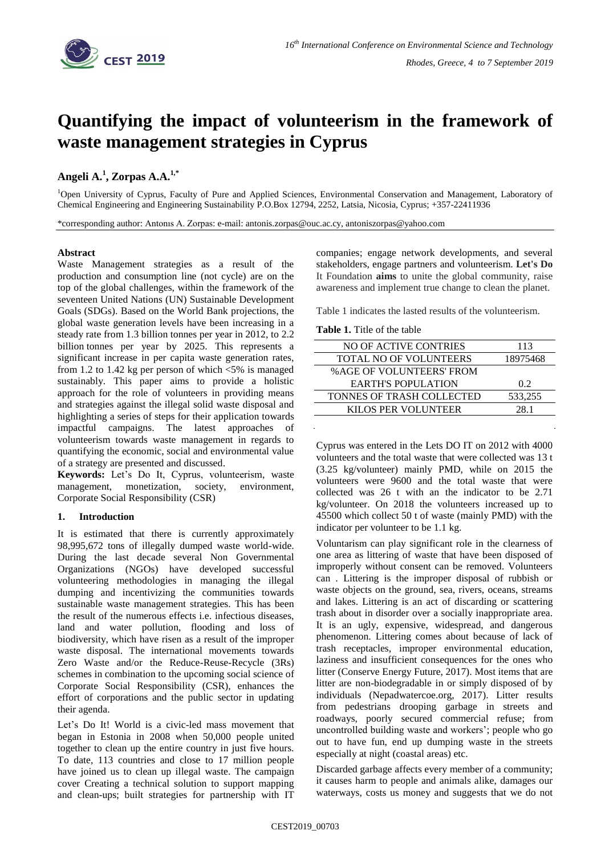

# **Quantifying the impact of volunteerism in the framework of waste management strategies in Cyprus**

# **Angeli A.<sup>1</sup> , Zorpas A.A.1,\***

<sup>1</sup>Open University of Cyprus, Faculty of Pure and Applied Sciences, Environmental Conservation and Management, Laboratory of Chemical Engineering and Engineering Sustainability P.O.Box 12794, 2252, Latsia, Nicosia, Cyprus; +357-22411936

\*corresponding author: Antonıs A. Zorpas: e-mail: antonis.zorpas@ouc.ac.cy, antoniszorpas@yahoo.com

#### **Abstract**

Waste Management strategies as a result of the production and consumption line (not cycle) are on the top of the global challenges, within the framework of the seventeen United Nations (UN) Sustainable Development Goals (SDGs). Based on the World Bank projections, the global waste generation levels have been increasing in a steady rate from 1.3 billion tonnes per year in 2012, to 2.2 billion tonnes per year by 2025. This represents a significant increase in per capita waste generation rates, from 1.2 to 1.42 kg per person of which <5% is managed sustainably. This paper aims to provide a holistic approach for the role of volunteers in providing means and strategies against the illegal solid waste disposal and highlighting a series of steps for their application towards impactful campaigns. The latest approaches of volunteerism towards waste management in regards to quantifying the economic, social and environmental value of a strategy are presented and discussed.

**Keywords:** Let's Do It, Cyprus, volunteerism, waste management, monetization, society, environment, Corporate Social Responsibility (CSR)

## **1. Introduction**

It is estimated that there is currently approximately 98,995,672 tons of illegally dumped waste world-wide. During the last decade several Non Governmental Organizations (NGOs) have developed successful volunteering methodologies in managing the illegal dumping and incentivizing the communities towards sustainable waste management strategies. This has been the result of the numerous effects i.e. infectious diseases, land and water pollution, flooding and loss of biodiversity, which have risen as a result of the improper waste disposal. The international movements towards Zero Waste and/or the Reduce-Reuse-Recycle (3Rs) schemes in combination to the upcoming social science of Corporate Social Responsibility (CSR), enhances the effort of corporations and the public sector in updating their agenda.

Let's Do It! World is a civic-led mass movement that began in Estonia in 2008 when 50,000 people united together to clean up the entire country in just five hours. To date, 113 countries and close to 17 million people have joined us to clean up illegal waste. The campaign cover Creating a technical solution to support mapping and clean-ups; built strategies for partnership with IT companies; engage network developments, and several stakeholders, engage partners and volunteerism. **Let's Do** It Foundation **aims** to unite the global community, raise awareness and implement true change to clean the planet.

Table 1 indicates the lasted results of the volunteerism.

**Table 1.** Title of the table

| NO OF ACTIVE CONTRIES           | 113      |
|---------------------------------|----------|
| <b>TOTAL NO OF VOLUNTEERS</b>   | 18975468 |
| <b>%AGE OF VOLUNTEERS' FROM</b> |          |
| <b>EARTH'S POPULATION</b>       | 0.2      |
| TONNES OF TRASH COLLECTED       | 533,255  |
| <b>KILOS PER VOLUNTEER</b>      | 28.1     |
|                                 |          |

Cyprus was entered in the Lets DO IT on 2012 with 4000 volunteers and the total waste that were collected was 13 t (3.25 kg/volunteer) mainly PMD, while on 2015 the volunteers were 9600 and the total waste that were collected was 26 t with an the indicator to be 2.71 kg/volunteer. On 2018 the volunteers increased up to 45500 which collect 50 t of waste (mainly PMD) with the indicator per volunteer to be 1.1 kg.

Voluntarism can play significant role in the clearness of one area as littering of waste that have been disposed of improperly without consent can be removed. Volunteers can . Littering is the improper disposal of rubbish or waste objects on the ground, sea, rivers, oceans, streams and lakes. Littering is an act of discarding or scattering trash about in disorder over a socially inappropriate area. It is an ugly, expensive, widespread, and dangerous phenomenon. Littering comes about because of lack of trash receptacles, improper environmental education, laziness and insufficient consequences for the ones who litter (Conserve Energy Future, 2017). Most items that are litter are non-biodegradable in or simply disposed of by individuals (Nepadwatercoe.org, 2017). Litter results from pedestrians drooping garbage in streets and roadways, poorly secured commercial refuse; from uncontrolled building waste and workers'; people who go out to have fun, end up dumping waste in the streets especially at night (coastal areas) etc.

Discarded garbage affects every member of a community; it causes harm to people and animals alike, damages our waterways, costs us money and suggests that we do not